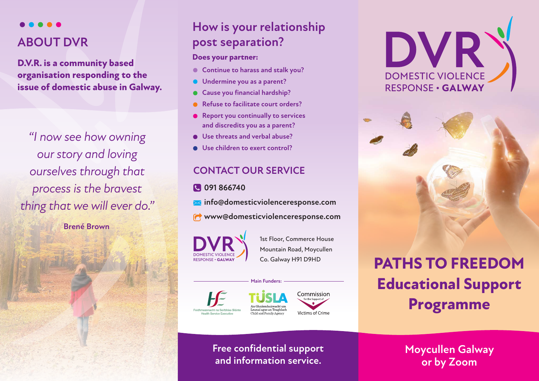

### **ABOUT DVR**

**D.V.R. is a community based organisation responding to the issue of domestic abuse in Galway.**

*"I now see how owning our story and loving ourselves through that process is the bravest thing that we will ever do."* 

**Brené Brown**

### **How is your relationship post separation?**

### **Does your partner:**

- **Continue to harass and stalk you?**
- **Undermine you as a parent?**
- **Cause you financial hardship?**
- **Refuse to facilitate court orders?**
- **Report you continually to services and discredits you as a parent?**
- **Use threats and verbal abuse?**
- **Use children to exert control?**

### **CONTACT OUR SERVICE**

- **091 866740**
- **info@domesticviolenceresponse.com**
- **www@domesticviolenceresponse.com**

**Main Funders:**

DOMESTIC VIOLENCE RESPONSE **• GALWAY**

1st Floor, Commerce House Mountain Road, Moycullen Co. Galway H91 D9HD







# **PATHS TO FREEDOM Educational Support Programme**

**Free confidential support and information service.**

**Moycullen Galway or by Zoom**